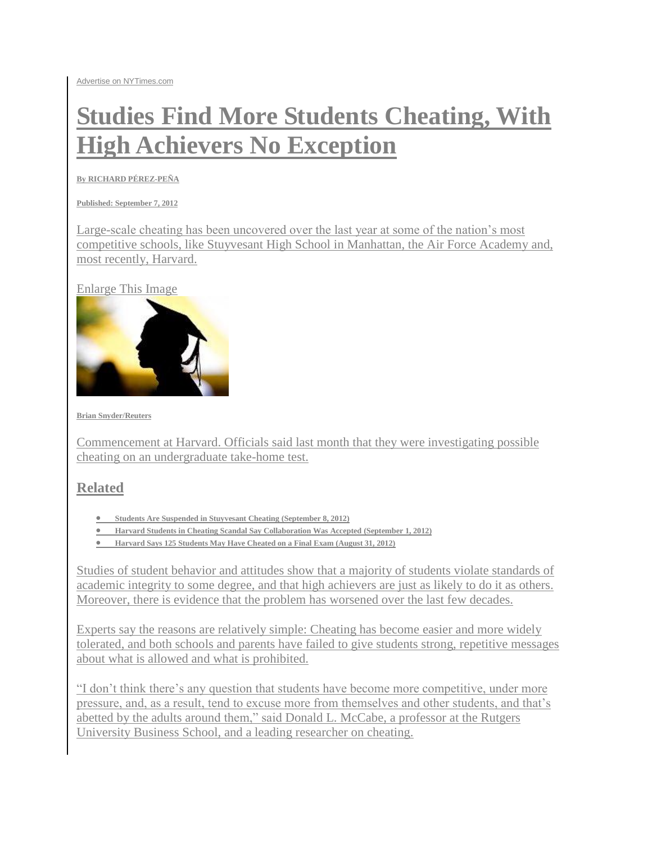## **Studies Find More Students Cheating, With High Achievers No Exception**

**B[y RICHARD PÉREZ-PEÑA](http://topics.nytimes.com/top/reference/timestopics/people/p/richard_perezpena/index.html)**

**Published: September 7, 2012** 

Large-scale cheating has been uncovered over the last year at some of the nation's most competitive schools, like [Stuyvesant High School](http://www.nytimes.com/2012/06/27/nyregion/looking-into-mass-cheating-via-text-message-at-stuyvesant.html?_r=1) in Manhattan, the [Air Force Academy](http://www.gazette.com/articles/online-139894-cadets-scores.html) and, most recently, [Harvard.](http://topics.nytimes.com/top/reference/timestopics/organizations/h/harvard_university/index.html?inline=nyt-org)

[Enlarge This Image](javascript:pop_me_up2()



**Brian Snyder/Reuters**

Commencement at Harvard. Officials said last month that they were investigating possible cheating on an undergraduate take-home test.

## **Related**

- **[Students Are Suspended in Stuyvesant Cheating](http://www.nytimes.com/2012/09/08/education/12-students-suspended-in-cheating-plot-at-stuyvesant-high-school.html?ref=education) (September 8, 2012)**
- **[Harvard Students in Cheating Scandal Say Collaboration Was Accepted](http://www.nytimes.com/2012/09/01/education/students-of-harvard-cheating-scandal-say-group-work-was-accepted.html?ref=education) (September 1, 2012)**
- **[Harvard Says 125 Students May Have Cheated on a Final Exam](http://www.nytimes.com/2012/08/31/education/harvard-says-125-students-may-have-cheated-on-exam.html?ref=education) (August 31, 2012)**

Studies of student behavior and attitudes show that a majority of students violate standards of academic integrity to some degree, and that high achievers are just as likely to do it as others. Moreover, there is evidence that the problem has worsened over the last few decades.

Experts say the reasons are relatively simple: Cheating has become easier and more widely tolerated, and both schools and parents have failed to give students strong, repetitive messages about what is allowed and what is prohibited.

"I don't think there's any question that students have become more competitive, under more pressure, and, as a result, tend to excuse more from themselves and other students, and that's abetted by the adults around them," said [Donald L. McCabe,](http://business.rutgers.edu/faculty-research/directory/mccabe-donald) a professor at the Rutgers University Business School, and a leading researcher on cheating.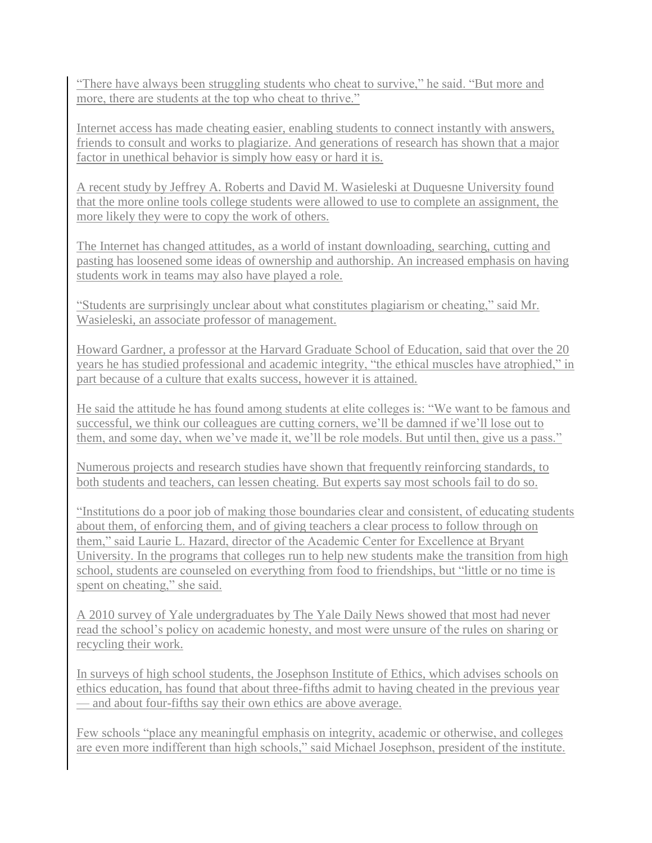"There have always been struggling students who cheat to survive," he said. "But more and more, there are students at the top who cheat to thrive."

Internet access has made cheating easier, enabling students to connect instantly with answers, friends to consult and works to plagiarize. And generations of research has shown that a major factor in unethical behavior is simply how easy or hard it is.

[A recent study](http://rd.springer.com/article/10.1007/s10551-011-1196-z) by Jeffrey A. Roberts and David M. Wasieleski at Duquesne University found that the more online tools college students were allowed to use to complete an assignment, the more likely they were to copy the work of others.

The Internet has changed attitudes, as a world of instant downloading, searching, cutting and pasting has loosened some ideas of ownership and authorship. An increased emphasis on having students work in teams may also have played a role.

"Students are surprisingly unclear about what constitutes plagiarism or cheating," said Mr. Wasieleski, an associate professor of management.

Howard Gardner, a professor at the Harvard Graduate School of Education, said that over the 20 years he has studied professional and academic integrity, "the ethical muscles have atrophied," in part because of a culture that exalts success, however it is attained.

He said the attitude he has found among students at elite colleges is: "We want to be famous and successful, we think our colleagues are cutting corners, we'll be damned if we'll lose out to them, and some day, when we've made it, we'll be role models. But until then, give us a pass."

Numerous projects and research studies have shown that frequently reinforcing standards, to both students and teachers, can lessen cheating. But experts say most schools fail to do so.

"Institutions do a poor job of making those boundaries clear and consistent, of educating students about them, of enforcing them, and of giving teachers a clear process to follow through on them," said Laurie L. Hazard, director of the Academic Center for Excellence at Bryant University. In the programs that colleges run to help new students make the transition from high school, students are counseled on everything from food to friendships, but "little or no time is spent on cheating," she said.

A 2010 [survey of Yale undergraduates](http://www.yaledailynews.com/news/2010/dec/01/cheating-confusion-persists/) by The Yale Daily News showed that most had never read the school's policy on academic honesty, and most were unsure of the rules on sharing or recycling their work.

In [surveys of high school students,](http://charactercounts.org/programs/reportcard/2010/index.html) the Josephson Institute of Ethics, which advises schools on ethics education, has found that about three-fifths admit to having cheated in the previous year — and about four-fifths say their own ethics are above average.

Few schools "place any meaningful emphasis on integrity, academic or otherwise, and colleges are even more indifferent than high schools," said Michael Josephson, president of the institute.